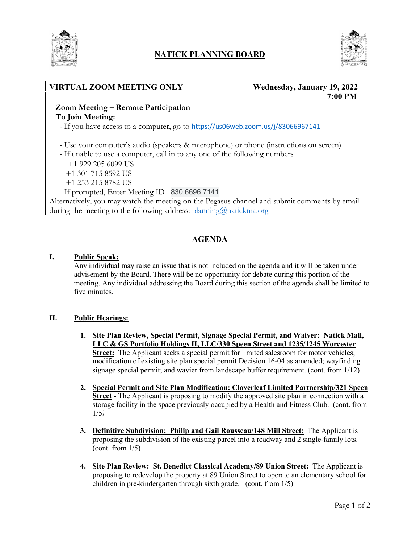

## **NATICK PLANNING BOARD**



## **VIRTUAL ZOOM MEETING ONLY Wednesday, January 19, 2022**

# **7:00 PM**

### **Zoom Meeting – Remote Participation To Join Meeting:**

- If you have access to a computer, go to https://us06web.zoom.us/j/83066967141

- Use your computer's audio (speakers & microphone) or phone (instructions on screen)

- If unable to use a computer, call in to any one of the following numbers
	- +1 929 205 6099 US
	- +1 301 715 8592 US
	- +1 253 215 8782 US
- If prompted, Enter Meeting ID 830 6696 7141

Alternatively, you may watch the meeting on the Pegasus channel and submit comments by email during the meeting to the following address: [planning@natickma.org](mailto:planning@natickma.org)

## **AGENDA**

#### **I. Public Speak:**

Any individual may raise an issue that is not included on the agenda and it will be taken under advisement by the Board. There will be no opportunity for debate during this portion of the meeting. Any individual addressing the Board during this section of the agenda shall be limited to five minutes.

#### **II. Public Hearings:**

- **1. Site Plan Review, Special Permit, Signage Special Permit, and Waiver: Natick Mall, LLC & GS Portfolio Holdings II, LLC/330 Speen Street and 1235/1245 Worcester Street:** The Applicant seeks a special permit for limited salesroom for motor vehicles; modification of existing site plan special permit Decision 16-04 as amended; wayfinding signage special permit; and wavier from landscape buffer requirement. (cont. from 1/12)
- **2. Special Permit and Site Plan Modification: Cloverleaf Limited Partnership/321 Speen Street -** The Applicant is proposing to modify the approved site plan in connection with a storage facility in the space previously occupied by a Health and Fitness Club. (cont. from 1/5*)*
- **3. Definitive Subdivision: Philip and Gail Rousseau/148 Mill Street:** The Applicant is proposing the subdivision of the existing parcel into a roadway and 2 single-family lots. (cont. from  $1/5$ )
- **4. Site Plan Review: St. Benedict Classical Academy/89 Union Street:** The Applicant is proposing to redevelop the property at 89 Union Street to operate an elementary school for children in pre-kindergarten through sixth grade. (cont. from 1/5)